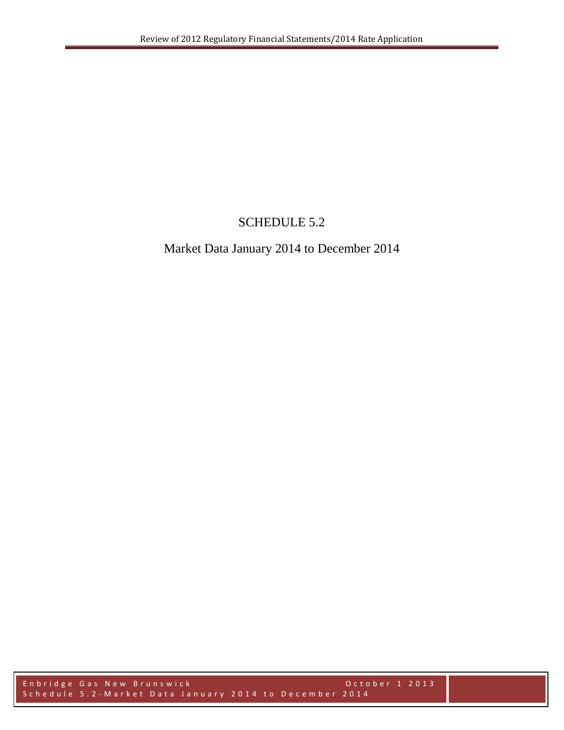## SCHEDULE 5.2

## Market Data January 2014 to December 2014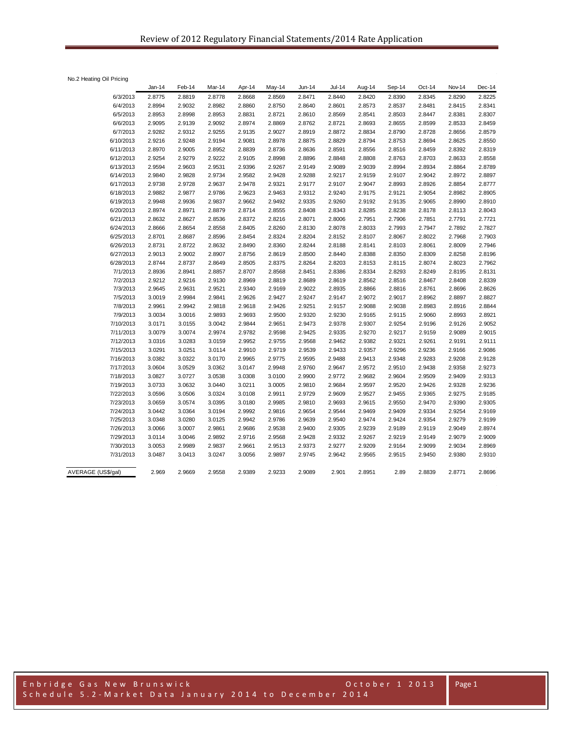No.2 Heating Oil Pricing

|                    | Jan-14 | Feb-14 | Mar-14 | Apr-14 | May-14 | $Jun-14$ | <b>Jul-14</b> | Aug-14 | Sep-14 | Oct-14 | Nov-14 | Dec-14 |
|--------------------|--------|--------|--------|--------|--------|----------|---------------|--------|--------|--------|--------|--------|
| 6/3/2013           | 2.8775 | 2.8819 | 2.8778 | 2.8668 | 2.8569 | 2.8471   | 2.8440        | 2.8420 | 2.8390 | 2.8345 | 2.8290 | 2.8225 |
| 6/4/2013           | 2.8994 | 2.9032 | 2.8982 | 2.8860 | 2.8750 | 2.8640   | 2.8601        | 2.8573 | 2.8537 | 2.8481 | 2.8415 | 2.8341 |
| 6/5/2013           | 2.8953 | 2.8998 | 2.8953 | 2.8831 | 2.8721 | 2.8610   | 2.8569        | 2.8541 | 2.8503 | 2.8447 | 2.8381 | 2.8307 |
| 6/6/2013           | 2.9095 | 2.9139 | 2.9092 | 2.8974 | 2.8869 | 2.8762   | 2.8721        | 2.8693 | 2.8655 | 2.8599 | 2.8533 | 2.8459 |
| 6/7/2013           | 2.9282 | 2.9312 | 2.9255 | 2.9135 | 2.9027 | 2.8919   | 2.8872        | 2.8834 | 2.8790 | 2.8728 | 2.8656 | 2.8579 |
| 6/10/2013          | 2.9216 | 2.9248 | 2.9194 | 2.9081 | 2.8978 | 2.8875   | 2.8829        | 2.8794 | 2.8753 | 2.8694 | 2.8625 | 2.8550 |
| 6/11/2013          | 2.8970 | 2.9005 | 2.8952 | 2.8839 | 2.8736 | 2.8636   | 2.8591        | 2.8556 | 2.8516 | 2.8459 | 2.8392 | 2.8319 |
| 6/12/2013          | 2.9254 | 2.9279 | 2.9222 | 2.9105 | 2.8998 | 2.8896   | 2.8848        | 2.8808 | 2.8763 | 2.8703 | 2.8633 | 2.8558 |
| 6/13/2013          | 2.9594 | 2.9603 | 2.9531 | 2.9396 | 2.9267 | 2.9149   | 2.9089        | 2.9039 | 2.8994 | 2.8934 | 2.8864 | 2.8789 |
| 6/14/2013          | 2.9840 | 2.9828 | 2.9734 | 2.9582 | 2.9428 | 2.9288   | 2.9217        | 2.9159 | 2.9107 | 2.9042 | 2.8972 | 2.8897 |
| 6/17/2013          | 2.9738 | 2.9728 | 2.9637 | 2.9478 | 2.9321 | 2.9177   | 2.9107        | 2.9047 | 2.8993 | 2.8926 | 2.8854 | 2.8777 |
| 6/18/2013          | 2.9882 | 2.9877 | 2.9786 | 2.9623 | 2.9463 | 2.9312   | 2.9240        | 2.9175 | 2.9121 | 2.9054 | 2.8982 | 2.8905 |
| 6/19/2013          | 2.9948 | 2.9936 | 2.9837 | 2.9662 | 2.9492 | 2.9335   | 2.9260        | 2.9192 | 2.9135 | 2.9065 | 2.8990 | 2.8910 |
| 6/20/2013          | 2.8974 | 2.8971 | 2.8879 | 2.8714 | 2.8555 | 2.8408   | 2.8343        | 2.8285 | 2.8238 | 2.8178 | 2.8113 | 2.8043 |
| 6/21/2013          | 2.8632 | 2.8627 | 2.8536 | 2.8372 | 2.8216 | 2.8071   | 2.8006        | 2.7951 | 2.7906 | 2.7851 | 2.7791 | 2.7721 |
| 6/24/2013          | 2.8666 | 2.8654 | 2.8558 | 2.8405 | 2.8260 | 2.8130   | 2.8078        | 2.8033 | 2.7993 | 2.7947 | 2.7892 | 2.7827 |
| 6/25/2013          | 2.8701 | 2.8687 | 2.8596 | 2.8454 | 2.8324 | 2.8204   | 2.8152        | 2.8107 | 2.8067 | 2.8022 | 2.7968 | 2.7903 |
| 6/26/2013          | 2.8731 | 2.8722 | 2.8632 | 2.8490 | 2.8360 | 2.8244   | 2.8188        | 2.8141 | 2.8103 | 2.8061 | 2.8009 | 2.7946 |
| 6/27/2013          | 2.9013 | 2.9002 | 2.8907 | 2.8756 | 2.8619 | 2.8500   | 2.8440        | 2.8388 | 2.8350 | 2.8309 | 2.8258 | 2.8196 |
| 6/28/2013          | 2.8744 | 2.8737 | 2.8649 | 2.8505 | 2.8375 | 2.8264   | 2.8203        | 2.8153 | 2.8115 | 2.8074 | 2.8023 | 2.7962 |
| 7/1/2013           | 2.8936 | 2.8941 | 2.8857 | 2.8707 | 2.8568 | 2.8451   | 2.8386        | 2.8334 | 2.8293 | 2.8249 | 2.8195 | 2.8131 |
| 7/2/2013           | 2.9212 | 2.9216 | 2.9130 | 2.8969 | 2.8819 | 2.8689   | 2.8619        | 2.8562 | 2.8516 | 2.8467 | 2.8408 | 2.8339 |
| 7/3/2013           | 2.9645 | 2.9631 | 2.9521 | 2.9340 | 2.9169 | 2.9022   | 2.8935        | 2.8866 | 2.8816 | 2.8761 | 2.8696 | 2.8626 |
| 7/5/2013           | 3.0019 | 2.9984 | 2.9841 | 2.9626 | 2.9427 | 2.9247   | 2.9147        | 2.9072 | 2.9017 | 2.8962 | 2.8897 | 2.8827 |
| 7/8/2013           | 2.9961 | 2.9942 | 2.9818 | 2.9618 | 2.9426 | 2.9251   | 2.9157        | 2.9088 | 2.9038 | 2.8983 | 2.8916 | 2.8844 |
| 7/9/2013           | 3.0034 | 3.0016 | 2.9893 | 2.9693 | 2.9500 | 2.9320   | 2.9230        | 2.9165 | 2.9115 | 2.9060 | 2.8993 | 2.8921 |
| 7/10/2013          | 3.0171 | 3.0155 | 3.0042 | 2.9844 | 2.9651 | 2.9473   | 2.9378        | 2.9307 | 2.9254 | 2.9196 | 2.9126 | 2.9052 |
| 7/11/2013          | 3.0079 | 3.0074 | 2.9974 | 2.9782 | 2.9598 | 2.9425   | 2.9335        | 2.9270 | 2.9217 | 2.9159 | 2.9089 | 2.9015 |
| 7/12/2013          | 3.0316 | 3.0283 | 3.0159 | 2.9952 | 2.9755 | 2.9568   | 2.9462        | 2.9382 | 2.9321 | 2.9261 | 2.9191 | 2.9111 |
| 7/15/2013          | 3.0291 | 3.0251 | 3.0114 | 2.9910 | 2.9719 | 2.9539   | 2.9433        | 2.9357 | 2.9296 | 2.9236 | 2.9166 | 2.9086 |
| 7/16/2013          | 3.0382 | 3.0322 | 3.0170 | 2.9965 | 2.9775 | 2.9595   | 2.9488        | 2.9413 | 2.9348 | 2.9283 | 2.9208 | 2.9128 |
| 7/17/2013          | 3.0604 | 3.0529 | 3.0362 | 3.0147 | 2.9948 | 2.9760   | 2.9647        | 2.9572 | 2.9510 | 2.9438 | 2.9358 | 2.9273 |
| 7/18/2013          | 3.0827 | 3.0727 | 3.0538 | 3.0308 | 3.0100 | 2.9900   | 2.9772        | 2.9682 | 2.9604 | 2.9509 | 2.9409 | 2.9313 |
| 7/19/2013          | 3.0733 | 3.0632 | 3.0440 | 3.0211 | 3.0005 | 2.9810   | 2.9684        | 2.9597 | 2.9520 | 2.9426 | 2.9328 | 2.9236 |
| 7/22/2013          | 3.0596 | 3.0506 | 3.0324 | 3.0108 | 2.9911 | 2.9729   | 2.9609        | 2.9527 | 2.9455 | 2.9365 | 2.9275 | 2.9185 |
| 7/23/2013          | 3.0659 | 3.0574 | 3.0395 | 3.0180 | 2.9985 | 2.9810   | 2.9693        | 2.9615 | 2.9550 | 2.9470 | 2.9390 | 2.9305 |
| 7/24/2013          | 3.0442 | 3.0364 | 3.0194 | 2.9992 | 2.9816 | 2.9654   | 2.9544        | 2.9469 | 2.9409 | 2.9334 | 2.9254 | 2.9169 |
| 7/25/2013          | 3.0348 | 3.0280 | 3.0125 | 2.9942 | 2.9786 | 2.9639   | 2.9540        | 2.9474 | 2.9424 | 2.9354 | 2.9279 | 2.9199 |
| 7/26/2013          | 3.0066 | 3.0007 | 2.9861 | 2.9686 | 2.9538 | 2.9400   | 2.9305        | 2.9239 | 2.9189 | 2.9119 | 2.9049 | 2.8974 |
| 7/29/2013          | 3.0114 | 3.0046 | 2.9892 | 2.9716 | 2.9568 | 2.9428   | 2.9332        | 2.9267 | 2.9219 | 2.9149 | 2.9079 | 2.9009 |
| 7/30/2013          | 3.0053 | 2.9989 | 2.9837 | 2.9661 | 2.9513 | 2.9373   | 2.9277        | 2.9209 | 2.9164 | 2.9099 | 2.9034 | 2.8969 |
| 7/31/2013          | 3.0487 | 3.0413 | 3.0247 | 3.0056 | 2.9897 | 2.9745   | 2.9642        | 2.9565 | 2.9515 | 2.9450 | 2.9380 | 2.9310 |
| AVERAGE (US\$/gal) | 2.969  | 2.9669 | 2.9558 | 2.9389 | 2.9233 | 2.9089   | 2.901         | 2.8951 | 2.89   | 2.8839 | 2.8771 | 2.8696 |
|                    |        |        |        |        |        |          |               |        |        |        |        |        |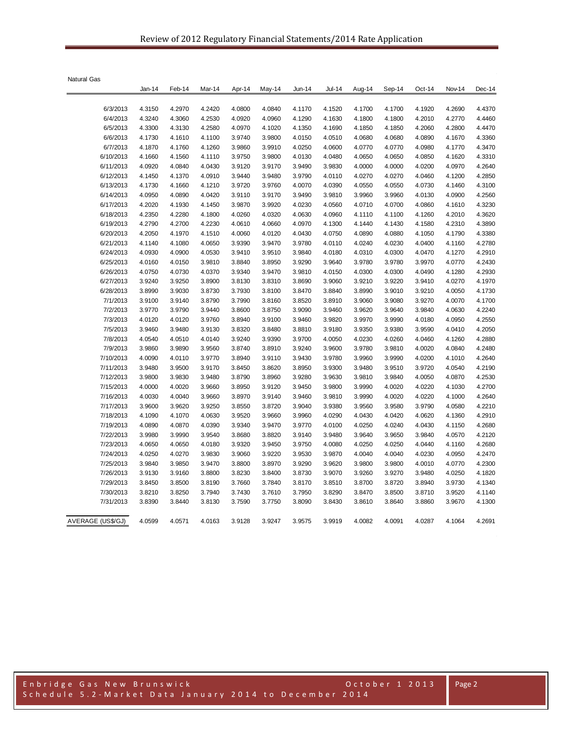| <b>Natural Gas</b> |        |        |        |        |        |        |               |        |        |        |        |        |
|--------------------|--------|--------|--------|--------|--------|--------|---------------|--------|--------|--------|--------|--------|
|                    | Jan-14 | Feb-14 | Mar-14 | Apr-14 | May-14 | Jun-14 | <b>Jul-14</b> | Aug-14 | Sep-14 | Oct-14 | Nov-14 | Dec-14 |
| 6/3/2013           | 4.3150 | 4.2970 | 4.2420 | 4.0800 | 4.0840 | 4.1170 | 4.1520        | 4.1700 | 4.1700 | 4.1920 | 4.2690 | 4.4370 |
| 6/4/2013           | 4.3240 | 4.3060 | 4.2530 | 4.0920 | 4.0960 | 4.1290 | 4.1630        | 4.1800 | 4.1800 | 4.2010 | 4.2770 | 4.4460 |
| 6/5/2013           | 4.3300 | 4.3130 | 4.2580 | 4.0970 | 4.1020 | 4.1350 | 4.1690        | 4.1850 | 4.1850 | 4.2060 | 4.2800 | 4.4470 |
| 6/6/2013           | 4.1730 | 4.1610 | 4.1100 | 3.9740 | 3.9800 | 4.0150 | 4.0510        | 4.0680 | 4.0680 | 4.0890 | 4.1670 | 4.3360 |
| 6/7/2013           | 4.1870 | 4.1760 | 4.1260 | 3.9860 | 3.9910 | 4.0250 | 4.0600        | 4.0770 | 4.0770 | 4.0980 | 4.1770 | 4.3470 |
| 6/10/2013          | 4.1660 | 4.1560 | 4.1110 | 3.9750 | 3.9800 | 4.0130 | 4.0480        | 4.0650 | 4.0650 | 4.0850 | 4.1620 | 4.3310 |
| 6/11/2013          | 4.0920 | 4.0840 | 4.0430 | 3.9120 | 3.9170 | 3.9490 | 3.9830        | 4.0000 | 4.0000 | 4.0200 | 4.0970 | 4.2640 |
| 6/12/2013          | 4.1450 | 4.1370 | 4.0910 | 3.9440 | 3.9480 | 3.9790 | 4.0110        | 4.0270 | 4.0270 | 4.0460 | 4.1200 | 4.2850 |
| 6/13/2013          | 4.1730 | 4.1660 | 4.1210 | 3.9720 | 3.9760 | 4.0070 | 4.0390        | 4.0550 | 4.0550 | 4.0730 | 4.1460 | 4.3100 |
| 6/14/2013          | 4.0950 | 4.0890 | 4.0420 | 3.9110 | 3.9170 | 3.9490 | 3.9810        | 3.9960 | 3.9960 | 4.0130 | 4.0900 | 4.2560 |
| 6/17/2013          | 4.2020 | 4.1930 | 4.1450 | 3.9870 | 3.9920 | 4.0230 | 4.0560        | 4.0710 | 4.0700 | 4.0860 | 4.1610 | 4.3230 |
| 6/18/2013          | 4.2350 | 4.2280 | 4.1800 | 4.0260 | 4.0320 | 4.0630 | 4.0960        | 4.1110 | 4.1100 | 4.1260 | 4.2010 | 4.3620 |
| 6/19/2013          | 4.2790 | 4.2700 | 4.2230 | 4.0610 | 4.0660 | 4.0970 | 4.1300        | 4.1440 | 4.1430 | 4.1580 | 4.2310 | 4.3890 |
| 6/20/2013          | 4.2050 | 4.1970 | 4.1510 | 4.0060 | 4.0120 | 4.0430 | 4.0750        | 4.0890 | 4.0880 | 4.1050 | 4.1790 | 4.3380 |
|                    |        |        |        |        |        |        |               |        |        |        |        |        |
| 6/21/2013          | 4.1140 | 4.1080 | 4.0650 | 3.9390 | 3.9470 | 3.9780 | 4.0110        | 4.0240 | 4.0230 | 4.0400 | 4.1160 | 4.2780 |
| 6/24/2013          | 4.0930 | 4.0900 | 4.0530 | 3.9410 | 3.9510 | 3.9840 | 4.0180        | 4.0310 | 4.0300 | 4.0470 | 4.1270 | 4.2910 |
| 6/25/2013          | 4.0160 | 4.0150 | 3.9810 | 3.8840 | 3.8950 | 3.9290 | 3.9640        | 3.9780 | 3.9780 | 3.9970 | 4.0770 | 4.2430 |
| 6/26/2013          | 4.0750 | 4.0730 | 4.0370 | 3.9340 | 3.9470 | 3.9810 | 4.0150        | 4.0300 | 4.0300 | 4.0490 | 4.1280 | 4.2930 |
| 6/27/2013          | 3.9240 | 3.9250 | 3.8900 | 3.8130 | 3.8310 | 3.8690 | 3.9060        | 3.9210 | 3.9220 | 3.9410 | 4.0270 | 4.1970 |
| 6/28/2013          | 3.8990 | 3.9030 | 3.8730 | 3.7930 | 3.8100 | 3.8470 | 3.8840        | 3.8990 | 3.9010 | 3.9210 | 4.0050 | 4.1730 |
| 7/1/2013           | 3.9100 | 3.9140 | 3.8790 | 3.7990 | 3.8160 | 3.8520 | 3.8910        | 3.9060 | 3.9080 | 3.9270 | 4.0070 | 4.1700 |
| 7/2/2013           | 3.9770 | 3.9790 | 3.9440 | 3.8600 | 3.8750 | 3.9090 | 3.9460        | 3.9620 | 3.9640 | 3.9840 | 4.0630 | 4.2240 |
| 7/3/2013           | 4.0120 | 4.0120 | 3.9760 | 3.8940 | 3.9100 | 3.9460 | 3.9820        | 3.9970 | 3.9990 | 4.0180 | 4.0950 | 4.2550 |
| 7/5/2013           | 3.9460 | 3.9480 | 3.9130 | 3.8320 | 3.8480 | 3.8810 | 3.9180        | 3.9350 | 3.9380 | 3.9590 | 4.0410 | 4.2050 |
| 7/8/2013           | 4.0540 | 4.0510 | 4.0140 | 3.9240 | 3.9390 | 3.9700 | 4.0050        | 4.0230 | 4.0260 | 4.0460 | 4.1260 | 4.2880 |
| 7/9/2013           | 3.9860 | 3.9890 | 3.9560 | 3.8740 | 3.8910 | 3.9240 | 3.9600        | 3.9780 | 3.9810 | 4.0020 | 4.0840 | 4.2480 |
| 7/10/2013          | 4.0090 | 4.0110 | 3.9770 | 3.8940 | 3.9110 | 3.9430 | 3.9780        | 3.9960 | 3.9990 | 4.0200 | 4.1010 | 4.2640 |
| 7/11/2013          | 3.9480 | 3.9500 | 3.9170 | 3.8450 | 3.8620 | 3.8950 | 3.9300        | 3.9480 | 3.9510 | 3.9720 | 4.0540 | 4.2190 |
| 7/12/2013          | 3.9800 | 3.9830 | 3.9480 | 3.8790 | 3.8960 | 3.9280 | 3.9630        | 3.9810 | 3.9840 | 4.0050 | 4.0870 | 4.2530 |
| 7/15/2013          | 4.0000 | 4.0020 | 3.9660 | 3.8950 | 3.9120 | 3.9450 | 3.9800        | 3.9990 | 4.0020 | 4.0220 | 4.1030 | 4.2700 |
| 7/16/2013          | 4.0030 | 4.0040 | 3.9660 | 3.8970 | 3.9140 | 3.9460 | 3.9810        | 3.9990 | 4.0020 | 4.0220 | 4.1000 | 4.2640 |
| 7/17/2013          | 3.9600 | 3.9620 | 3.9250 | 3.8550 | 3.8720 | 3.9040 | 3.9380        | 3.9560 | 3.9580 | 3.9790 | 4.0580 | 4.2210 |
| 7/18/2013          | 4.1090 | 4.1070 | 4.0630 | 3.9520 | 3.9660 | 3.9960 | 4.0290        | 4.0430 | 4.0420 | 4.0620 | 4.1360 | 4.2910 |
| 7/19/2013          | 4.0890 | 4.0870 | 4.0390 | 3.9340 | 3.9470 | 3.9770 | 4.0100        | 4.0250 | 4.0240 | 4.0430 | 4.1150 | 4.2680 |
| 7/22/2013          | 3.9980 | 3.9990 | 3.9540 | 3.8680 | 3.8820 | 3.9140 | 3.9480        | 3.9640 | 3.9650 | 3.9840 | 4.0570 | 4.2120 |
| 7/23/2013          | 4.0650 | 4.0650 | 4.0180 | 3.9320 | 3.9450 | 3.9750 | 4.0080        | 4.0250 | 4.0250 | 4.0440 | 4.1160 | 4.2680 |
| 7/24/2013          | 4.0250 | 4.0270 | 3.9830 | 3.9060 | 3.9220 | 3.9530 | 3.9870        | 4.0040 | 4.0040 | 4.0230 | 4.0950 | 4.2470 |
| 7/25/2013          | 3.9840 | 3.9850 | 3.9470 | 3.8800 | 3.8970 | 3.9290 | 3.9620        | 3.9800 | 3.9800 | 4.0010 | 4.0770 | 4.2300 |
| 7/26/2013          | 3.9130 | 3.9160 | 3.8800 | 3.8230 | 3.8400 | 3.8730 | 3.9070        | 3.9260 | 3.9270 | 3.9480 | 4.0250 | 4.1820 |
| 7/29/2013          | 3.8450 | 3.8500 | 3.8190 | 3.7660 | 3.7840 | 3.8170 | 3.8510        | 3.8700 | 3.8720 | 3.8940 | 3.9730 | 4.1340 |
| 7/30/2013          | 3.8210 | 3.8250 | 3.7940 | 3.7430 | 3.7610 | 3.7950 | 3.8290        | 3.8470 | 3.8500 | 3.8710 | 3.9520 | 4.1140 |
| 7/31/2013          | 3.8390 | 3.8440 | 3.8130 | 3.7590 | 3.7750 | 3.8090 | 3.8430        | 3.8610 | 3.8640 | 3.8860 | 3.9670 | 4.1300 |
| AVERAGE (US\$/GJ)  | 4.0599 | 4.0571 | 4.0163 | 3.9128 | 3.9247 | 3.9575 | 3.9919        | 4.0082 | 4.0091 | 4.0287 | 4.1064 | 4.2691 |